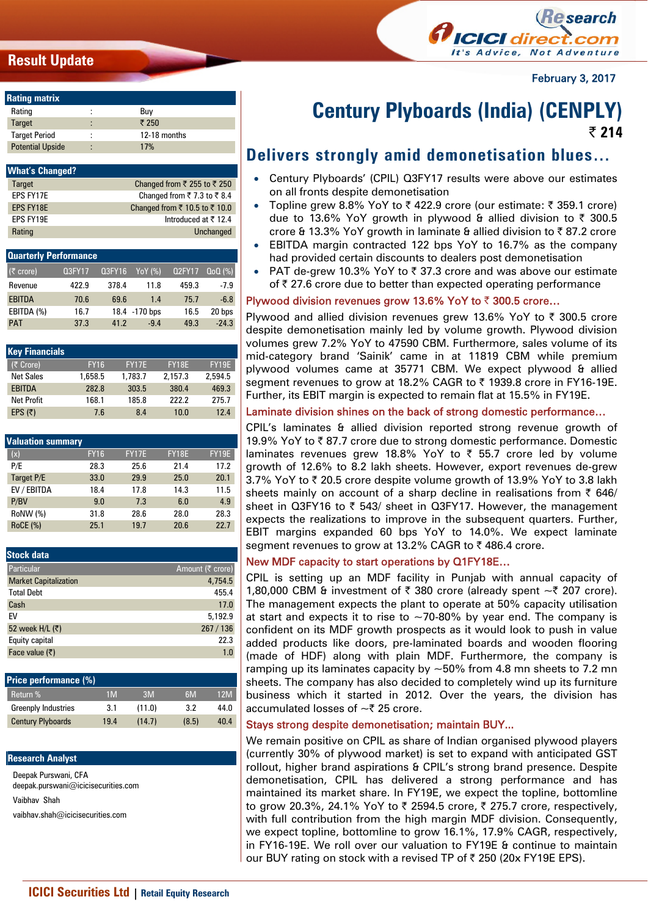# **Result Update**



February 3, 2017

| <b>Rating matrix</b>    |        |              |
|-------------------------|--------|--------------|
| Rating                  | ٠      | Buy          |
| <b>Target</b>           | ٠      | ₹ 250        |
| <b>Target Period</b>    | ٠<br>٠ | 12-18 months |
| <b>Potential Upside</b> | ٠      | 17%          |

| <b>What's Changed?</b> |                                   |
|------------------------|-----------------------------------|
| <b>Target</b>          | Changed from ₹ 255 to ₹ 250       |
| FPS FY17F              | Changed from ₹7.3 to ₹8.4         |
| <b>EPS FY18E</b>       | Changed from ₹ 10.5 to ₹ 10.0     |
| FPS FY19F              | Introduced at $\overline{z}$ 12.4 |
| Rating                 | Unchanged                         |

| <b>Quarterly Performance</b> |               |        |                      |               |            |
|------------------------------|---------------|--------|----------------------|---------------|------------|
| $(5$ crore)                  | <b>Q3FY17</b> | Q3FY16 | $\overline{YoY}$ (%) | <b>Q2FY17</b> | $Q_0Q(\%)$ |
| Revenue                      | 422.9         | 378.4  | 11.8                 | 459.3         | $-7.9$     |
| <b>EBITDA</b>                | 70.6          | 69.6   | 1.4                  | 75.7          | $-6.8$     |
| EBITDA (%)                   | 16.7          |        | 18.4 -170 bps        | 16.5          | 20 bps     |
| <b>PAT</b>                   | 37.3          | 41.2   | $-9.4$               | 49.3          | $-24.3$    |

| <b>Key Financials</b> |             |              |              |         |
|-----------------------|-------------|--------------|--------------|---------|
| (₹ Crore)             | <b>FY16</b> | <b>FY17E</b> | <b>FY18E</b> | FY19E   |
| <b>Net Sales</b>      | 1,658.5     | 1.783.7      | 2.157.3      | 2.594.5 |
| <b>EBITDA</b>         | 282.8       | 303.5        | 380.4        | 469.3   |
| <b>Net Profit</b>     | 168.1       | 185.8        | 222.2        | 275.7   |
| EPS $(5)$             | 7.6         | 8.4          | 10.0         | 12.4    |

| <b>Valuation summary</b> |             |              |              |              |
|--------------------------|-------------|--------------|--------------|--------------|
| (x)                      | <b>FY16</b> | <b>FY17E</b> | <b>FY18E</b> | <b>FY19E</b> |
| P/E                      | 28.3        | 25.6         | 21.4         | 17.2         |
| Target P/E               | 33.0        | 29.9         | 25.0         | 20.1         |
| EV / EBITDA              | 18.4        | 17.8         | 14.3         | 11.5         |
| P/BV                     | 9.0         | 7.3          | 6.0          | 4.9          |
| RoNW (%)                 | 31.8        | 28.6         | 28.0         | 28.3         |
| <b>RoCE (%)</b>          | 25.1        | 19.7         | 20.6         | 22.7         |

| <b>Stock data</b>            |                  |
|------------------------------|------------------|
| Particular                   | Amount (₹ crore) |
| <b>Market Capitalization</b> | 4.754.5          |
| <b>Total Debt</b>            | 455.4            |
| Cash                         | 17.0             |
| EV                           | 5,192.9          |
| 52 week H/L (₹)              | 267/136          |
| Equity capital               | 22.3             |
| Face value $(\bar{\tau})$    | 1.0              |
|                              |                  |

| <b>Price performance (%)</b> |      |        |       |      |
|------------------------------|------|--------|-------|------|
| Return %                     | 1M   | 3M     | 6M    | 12M  |
| <b>Greenply Industries</b>   | 3.1  | (11.0) | 3.2   | 44.0 |
| <b>Century Plyboards</b>     | 19.4 | (14.7) | (8.5) | 40.4 |

### **Research Analyst**

Deepak Purswani, CFA deepak.purswani@icicisecurities.com Vaibhav Shah vaibhav.shah@icicisecurities.com

# **Century Plyboards (India) (CENPLY) | 214**

# **Delivers strongly amid demonetisation blues…**

- Century Plyboards' (CPIL) Q3FY17 results were above our estimates on all fronts despite demonetisation
- Topline grew 8.8% YoY to  $\bar{\tau}$  422.9 crore (our estimate:  $\bar{\tau}$  359.1 crore) due to 13.6% YoY growth in plywood & allied division to  $\bar{\tau}$  300.5 crore & 13.3% YoY growth in laminate & allied division to ₹87.2 crore
- EBITDA margin contracted 122 bps YoY to 16.7% as the company had provided certain discounts to dealers post demonetisation
- PAT de-grew 10.3% YoY to  $\bar{\tau}$  37.3 crore and was above our estimate of  $\bar{\tau}$  27.6 crore due to better than expected operating performance

# **Plywood division revenues grow 13.6% YoY to ₹300.5 crore...**

Plywood and allied division revenues grew 13.6% YoY to  $\bar{\tau}$  300.5 crore despite demonetisation mainly led by volume growth. Plywood division volumes grew 7.2% YoY to 47590 CBM. Furthermore, sales volume of its mid-category brand 'Sainik' came in at 11819 CBM while premium plywood volumes came at 35771 CBM. We expect plywood & allied segment revenues to grow at 18.2% CAGR to ₹ 1939.8 crore in FY16-19E. Further, its EBIT margin is expected to remain flat at 15.5% in FY19E.

## Laminate division shines on the back of strong domestic performance…

CPIL's laminates & allied division reported strong revenue growth of 19.9% YoY to ₹87.7 crore due to strong domestic performance. Domestic laminates revenues grew 18.8% YoY to  $\bar{\tau}$  55.7 crore led by volume growth of 12.6% to 8.2 lakh sheets. However, export revenues de-grew 3.7% YoY to ₹ 20.5 crore despite volume growth of 13.9% YoY to 3.8 lakh sheets mainly on account of a sharp decline in realisations from  $\bar{\tau}$  646/ sheet in Q3FY16 to  $\bar{\tau}$  543/ sheet in Q3FY17. However, the management expects the realizations to improve in the subsequent quarters. Further, EBIT margins expanded 60 bps YoY to 14.0%. We expect laminate segment revenues to grow at 13.2% CAGR to ₹486.4 crore.

# New MDF capacity to start operations by Q1FY18E…

CPIL is setting up an MDF facility in Punjab with annual capacity of 1,80,000 CBM & investment of  $\bar{\tau}$  380 crore (already spent  $\sim\bar{\tau}$  207 crore). The management expects the plant to operate at 50% capacity utilisation at start and expects it to rise to  $\sim$  70-80% by year end. The company is confident on its MDF growth prospects as it would look to push in value added products like doors, pre-laminated boards and wooden flooring (made of HDF) along with plain MDF. Furthermore, the company is ramping up its laminates capacity by  $\sim$  50% from 4.8 mn sheets to 7.2 mn sheets. The company has also decided to completely wind up its furniture business which it started in 2012. Over the years, the division has accumulated losses of  $\sim$  7 25 crore.

# Stays strong despite demonetisation; maintain BUY...

We remain positive on CPIL as share of Indian organised plywood players (currently 30% of plywood market) is set to expand with anticipated GST rollout, higher brand aspirations & CPIL's strong brand presence. Despite demonetisation, CPIL has delivered a strong performance and has maintained its market share. In FY19E, we expect the topline, bottomline to grow 20.3%, 24.1% YoY to ₹ 2594.5 crore, ₹ 275.7 crore, respectively, with full contribution from the high margin MDF division. Consequently, we expect topline, bottomline to grow 16.1%, 17.9% CAGR, respectively, in FY16-19E. We roll over our valuation to FY19E & continue to maintain our BUY rating on stock with a revised TP of ₹ 250 (20x FY19E EPS).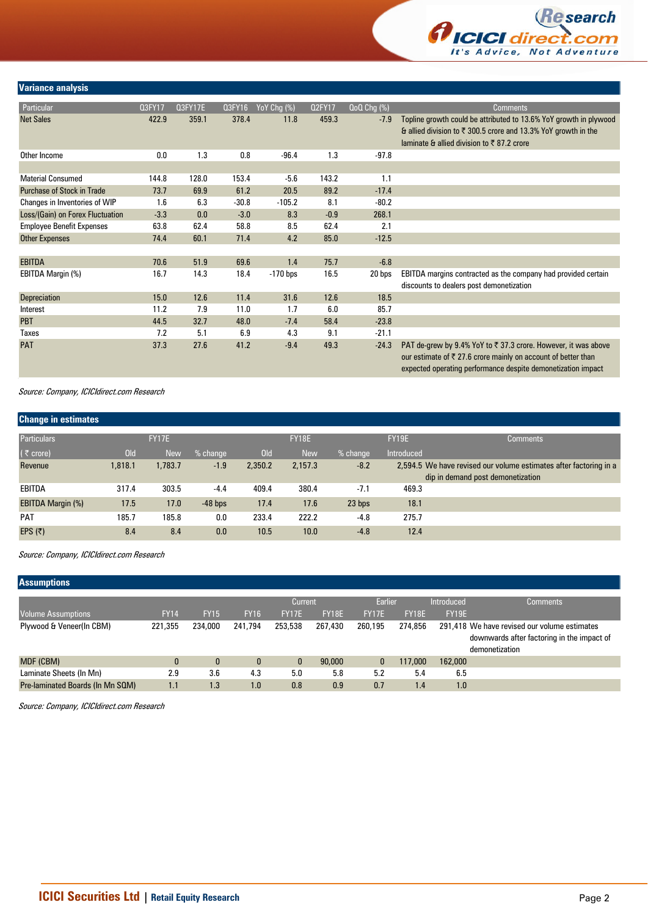

## **Variance analysis**

| Particular                        | 03FY17 | <b>Q3FY17E</b> | Q3FY16  | $YoY$ Chg $\overline{(*)}$ | <b>Q2FY17</b> | QoQ Chg (%) | <b>Comments</b>                                                                                                                                                                                            |
|-----------------------------------|--------|----------------|---------|----------------------------|---------------|-------------|------------------------------------------------------------------------------------------------------------------------------------------------------------------------------------------------------------|
| <b>Net Sales</b>                  | 422.9  | 359.1          | 378.4   | 11.8                       | 459.3         | $-7.9$      | Topline growth could be attributed to 13.6% YoY growth in plywood<br>& allied division to ₹ 300.5 crore and 13.3% YoY growth in the<br>laminate & allied division to ₹87.2 crore                           |
| Other Income                      | 0.0    | 1.3            | 0.8     | $-96.4$                    | 1.3           | $-97.8$     |                                                                                                                                                                                                            |
|                                   |        |                |         |                            |               |             |                                                                                                                                                                                                            |
| <b>Material Consumed</b>          | 144.8  | 128.0          | 153.4   | $-5.6$                     | 143.2         | 1.1         |                                                                                                                                                                                                            |
| <b>Purchase of Stock in Trade</b> | 73.7   | 69.9           | 61.2    | 20.5                       | 89.2          | $-17.4$     |                                                                                                                                                                                                            |
| Changes in Inventories of WIP     | 1.6    | 6.3            | $-30.8$ | $-105.2$                   | 8.1           | $-80.2$     |                                                                                                                                                                                                            |
| Loss/(Gain) on Forex Fluctuation  | $-3.3$ | 0.0            | $-3.0$  | 8.3                        | $-0.9$        | 268.1       |                                                                                                                                                                                                            |
| <b>Employee Benefit Expenses</b>  | 63.8   | 62.4           | 58.8    | 8.5                        | 62.4          | 2.1         |                                                                                                                                                                                                            |
| <b>Other Expenses</b>             | 74.4   | 60.1           | 71.4    | 4.2                        | 85.0          | $-12.5$     |                                                                                                                                                                                                            |
|                                   |        |                |         |                            |               |             |                                                                                                                                                                                                            |
| <b>EBITDA</b>                     | 70.6   | 51.9           | 69.6    | 1.4                        | 75.7          | $-6.8$      |                                                                                                                                                                                                            |
| EBITDA Margin (%)                 | 16.7   | 14.3           | 18.4    | $-170$ bps                 | 16.5          | 20 bps      | EBITDA margins contracted as the company had provided certain<br>discounts to dealers post demonetization                                                                                                  |
| <b>Depreciation</b>               | 15.0   | 12.6           | 11.4    | 31.6                       | 12.6          | 18.5        |                                                                                                                                                                                                            |
| Interest                          | 11.2   | 7.9            | 11.0    | 1.7                        | 6.0           | 85.7        |                                                                                                                                                                                                            |
| <b>PBT</b>                        | 44.5   | 32.7           | 48.0    | $-7.4$                     | 58.4          | $-23.8$     |                                                                                                                                                                                                            |
| Taxes                             | 7.2    | 5.1            | 6.9     | 4.3                        | 9.1           | $-21.1$     |                                                                                                                                                                                                            |
| <b>PAT</b>                        | 37.3   | 27.6           | 41.2    | $-9.4$                     | 49.3          | $-24.3$     | PAT de-grew by 9.4% YoY to ₹ 37.3 crore. However, it was above<br>our estimate of $\bar{\tau}$ 27.6 crore mainly on account of better than<br>expected operating performance despite demonetization impact |

Source: Company, ICICIdirect.com Research

| <b>Change in estimates</b> |            |              |           |            |              |            |              |                                                                                                        |
|----------------------------|------------|--------------|-----------|------------|--------------|------------|--------------|--------------------------------------------------------------------------------------------------------|
| <b>Particulars</b>         |            | <b>FY17E</b> |           |            | <b>FY18E</b> |            | <b>FY19E</b> | <b>Comments</b>                                                                                        |
| $($ ₹ crore)               | <b>Old</b> | <b>New</b>   | % change  | <b>Old</b> | <b>New</b>   | $%$ change | Introduced   |                                                                                                        |
| Revenue                    | 1,818.1    | 1,783.7      | $-1.9$    | 2,350.2    | 2,157.3      | $-8.2$     |              | 2,594.5 We have revised our volume estimates after factoring in a<br>dip in demand post demonetization |
| EBITDA                     | 317.4      | 303.5        | $-4.4$    | 409.4      | 380.4        | $-7.1$     | 469.3        |                                                                                                        |
| <b>EBITDA Margin (%)</b>   | 17.5       | 17.0         | $-48$ bps | 17.4       | 17.6         | 23 bps     | 18.1         |                                                                                                        |
| <b>PAT</b>                 | 185.7      | 185.8        | 0.0       | 233.4      | 222.2        | $-4.8$     | 275.7        |                                                                                                        |
| EPS $(5)$                  | 8.4        | 8.4          | 0.0       | 10.5       | 10.0         | $-4.8$     | 12.4         |                                                                                                        |

Source: Company, ICICIdirect.com Research

| <b>Assumptions</b>               |             |              |              |              |              |              |         |            |                                              |
|----------------------------------|-------------|--------------|--------------|--------------|--------------|--------------|---------|------------|----------------------------------------------|
|                                  |             |              |              | Current      |              | Earlier      |         | Introduced | <b>Comments</b>                              |
| <b>Volume Assumptions</b>        | <b>FY14</b> | <b>FY15</b>  | <b>FY16</b>  | <b>FY17E</b> | <b>FY18E</b> | <b>FY17E</b> | FY18E   | FY19E      |                                              |
| Plywood & Veneer(In CBM)         | 221,355     | 234,000      | 241.794      | 253,538      | 267,430      | 260.195      | 274,856 |            | 291,418 We have revised our volume estimates |
|                                  |             |              |              |              |              |              |         |            | downwards after factoring in the impact of   |
|                                  |             |              |              |              |              |              |         |            | demonetization                               |
| MDF (CBM)                        |             | $\mathbf{0}$ | $\mathbf{0}$ | $\mathbf{0}$ | 90,000       | 0            | 117,000 | 162,000    |                                              |
| Laminate Sheets (In Mn)          | 2.9         | 3.6          | 4.3          | 5.0          | 5.8          | 5.2          | 5.4     | 6.5        |                                              |
| Pre-laminated Boards (In Mn SQM) | 1.1         | 1.3          | 1.0          | 0.8          | 0.9          | 0.7          | 1.4     | 1.0        |                                              |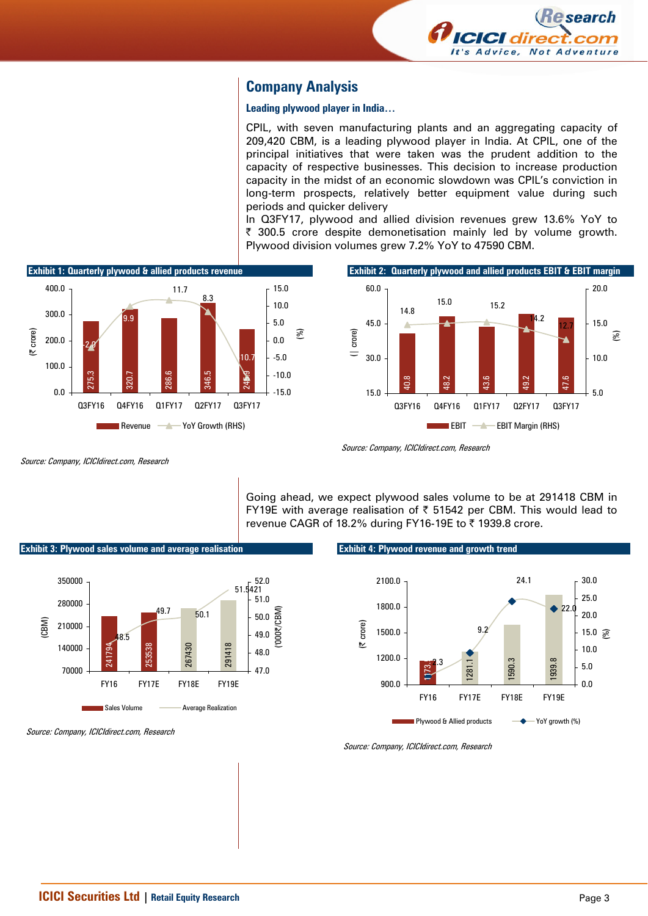

# **Company Analysis**

#### **Leading plywood player in India…**

CPIL, with seven manufacturing plants and an aggregating capacity of 209,420 CBM, is a leading plywood player in India. At CPIL, one of the principal initiatives that were taken was the prudent addition to the capacity of respective businesses. This decision to increase production capacity in the midst of an economic slowdown was CPIL's conviction in long-term prospects, relatively better equipment value during such periods and quicker delivery

In Q3FY17, plywood and allied division revenues grew 13.6% YoY to  $\bar{\tau}$  300.5 crore despite demonetisation mainly led by volume growth. Plywood division volumes grew 7.2% YoY to 47590 CBM.



Source: Company, ICICIdirect.com, Research

Going ahead, we expect plywood sales volume to be at 291418 CBM in FY19E with average realisation of  $\bar{\tau}$  51542 per CBM. This would lead to revenue CAGR of 18.2% during FY16-19E to ₹ 1939.8 crore.

**Exhibit 3: Plywood sales volume and average realisation** 



Source: Company, ICICIdirect.com, Research

#### **Exhibit 4: Plywood revenue and growth trend**

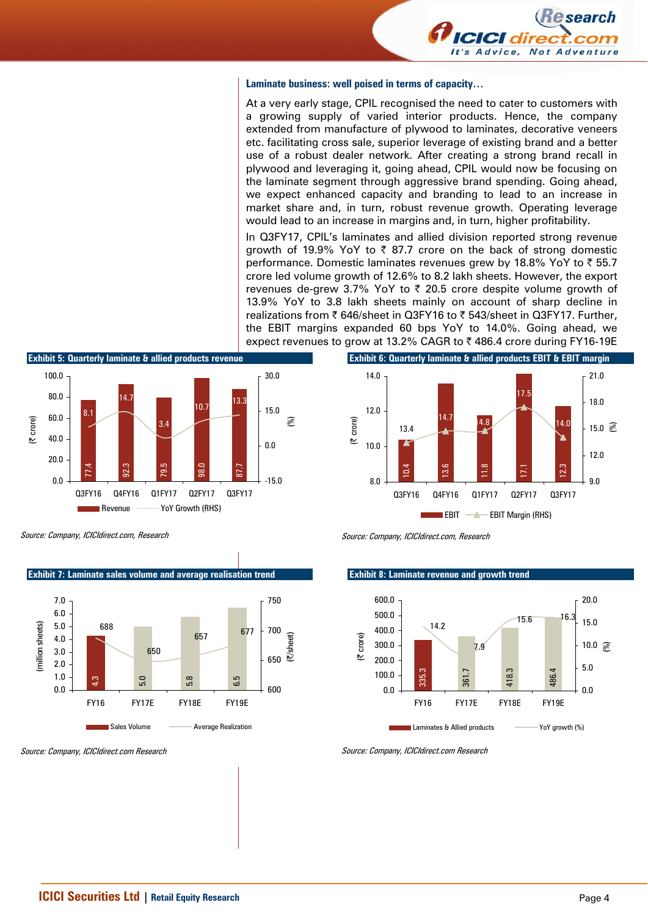

#### **Laminate business: well poised in terms of capacity…**

At a very early stage, CPIL recognised the need to cater to customers with a growing supply of varied interior products. Hence, the company extended from manufacture of plywood to laminates, decorative veneers etc. facilitating cross sale, superior leverage of existing brand and a better use of a robust dealer network. After creating a strong brand recall in plywood and leveraging it, going ahead, CPIL would now be focusing on the laminate segment through aggressive brand spending. Going ahead, we expect enhanced capacity and branding to lead to an increase in market share and, in turn, robust revenue growth. Operating leverage would lead to an increase in margins and, in turn, higher profitability.

In Q3FY17, CPIL's laminates and allied division reported strong revenue growth of 19.9% YoY to  $\bar{\tau}$  87.7 crore on the back of strong domestic performance. Domestic laminates revenues grew by 18.8% YoY to  $\bar{\tau}$  55.7 crore led volume growth of 12.6% to 8.2 lakh sheets. However, the export revenues de-grew 3.7% YoY to  $\bar{\tau}$  20.5 crore despite volume growth of 13.9% YoY to 3.8 lakh sheets mainly on account of sharp decline in realizations from ₹ 646/sheet in Q3FY16 to ₹ 543/sheet in Q3FY17. Further, the EBIT margins expanded 60 bps YoY to 14.0%. Going ahead, we expect revenues to grow at 13.2% CAGR to  $\bar{\tau}$  486.4 crore during FY16-19E



Source: Company, ICICIdirect.com, Research

#### **Exhibit 8: Laminate revenue and growth trend**





Source: Company, ICICIdirect.com, Research

8.1

 $0.0$ 20.0 40.0 60.0 80.0 100.0

(| crore)



Source: Company, ICICIdirect.com Research

**Exhibit 7: Laminate sales volume and average realisation trend** 

77.4 92.3 79.5 98.0 87.7

Q3FY16 Q4FY16 Q1FY17 Q2FY17 Q3FY17

Revenue **Way Yoy Growth (RHS)** 

3.4

 $10.7$  13.3

 $-15.0$ 

0.0

15.0

(%)

30.0

**Exhibit 5: Quarterly laminate & allied products revenue** 

14.7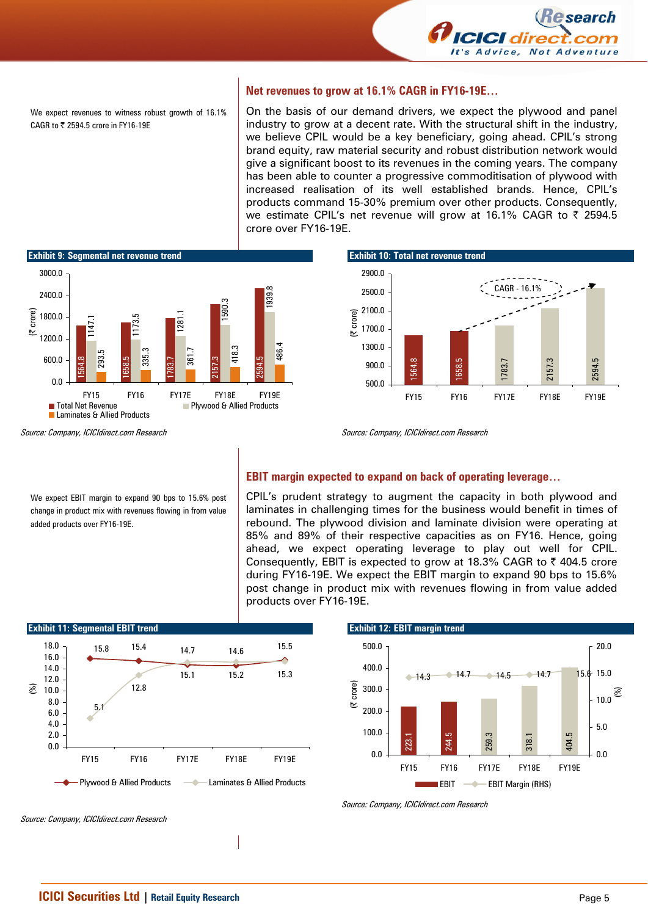

We expect revenues to witness robust growth of 16.1% CAGR to ₹ 2594.5 crore in FY16-19E

#### **Net revenues to grow at 16.1% CAGR in FY16-19E…**

On the basis of our demand drivers, we expect the plywood and panel industry to grow at a decent rate. With the structural shift in the industry, we believe CPIL would be a key beneficiary, going ahead. CPIL's strong brand equity, raw material security and robust distribution network would give a significant boost to its revenues in the coming years. The company has been able to counter a progressive commoditisation of plywood with increased realisation of its well established brands. Hence, CPIL's products command 15-30% premium over other products. Consequently, we estimate CPIL's net revenue will grow at 16.1% CAGR to ₹ 2594.5 crore over FY16-19E.



**Exhibit 10: Total net revenue trend** 



Source: Company, ICICIdirect.com Research

We expect EBIT margin to expand 90 bps to 15.6% post change in product mix with revenues flowing in from value added products over FY16-19E.



#### **EBIT margin expected to expand on back of operating leverage…**

CPIL's prudent strategy to augment the capacity in both plywood and laminates in challenging times for the business would benefit in times of rebound. The plywood division and laminate division were operating at 85% and 89% of their respective capacities as on FY16. Hence, going ahead, we expect operating leverage to play out well for CPIL. Consequently, EBIT is expected to grow at 18.3% CAGR to  $\bar{\tau}$  404.5 crore during FY16-19E. We expect the EBIT margin to expand 90 bps to 15.6% post change in product mix with revenues flowing in from value added products over FY16-19E.





Source: Company, ICICIdirect.com Research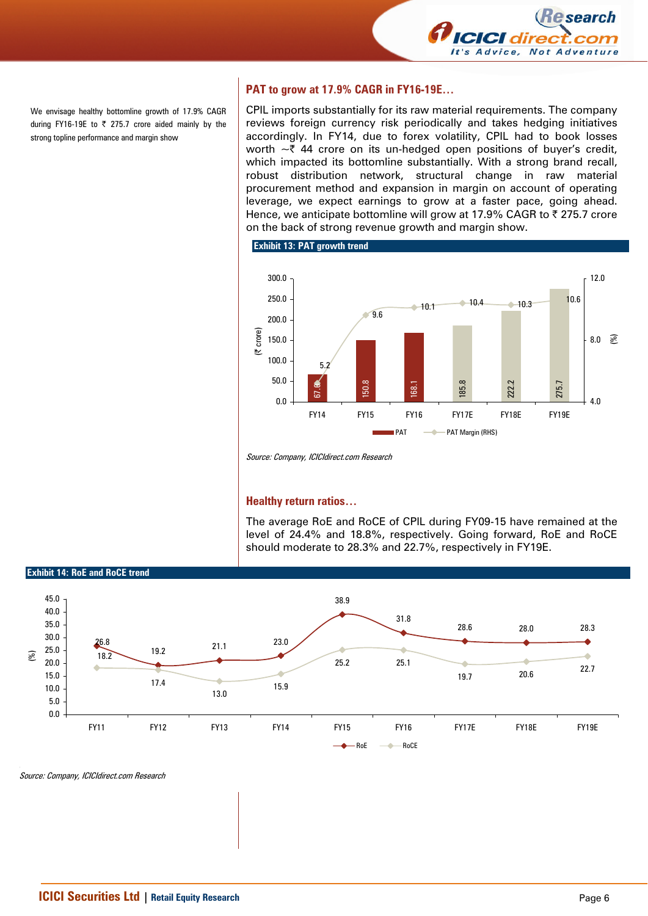

We envisage healthy bottomline growth of 17.9% CAGR during FY16-19E to  $\overline{\zeta}$  275.7 crore aided mainly by the strong topline performance and margin show

## **PAT to grow at 17.9% CAGR in FY16-19E…**

CPIL imports substantially for its raw material requirements. The company reviews foreign currency risk periodically and takes hedging initiatives accordingly. In FY14, due to forex volatility, CPIL had to book losses worth  $\sim$  744 crore on its un-hedged open positions of buyer's credit, which impacted its bottomline substantially. With a strong brand recall, robust distribution network, structural change in raw material procurement method and expansion in margin on account of operating leverage, we expect earnings to grow at a faster pace, going ahead. Hence, we anticipate bottomline will grow at 17.9% CAGR to  $\bar{\tau}$  275.7 crore on the back of strong revenue growth and margin show.





Source: Company, ICICIdirect.com Research

#### **Healthy return ratios…**

The average RoE and RoCE of CPIL during FY09-15 have remained at the level of 24.4% and 18.8%, respectively. Going forward, RoE and RoCE should moderate to 28.3% and 22.7%, respectively in FY19E.

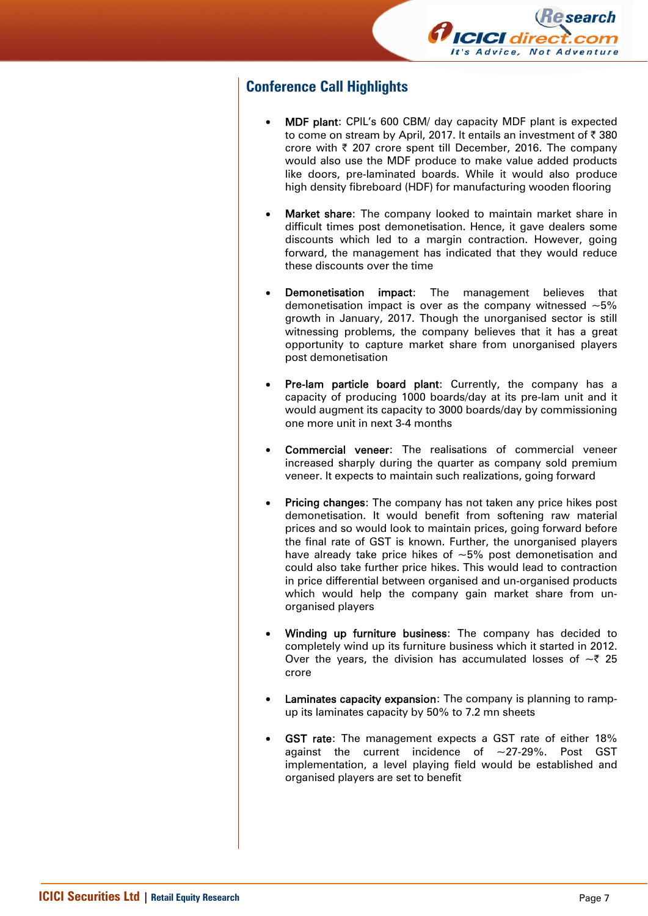

# **Conference Call Highlights**

- MDF plant: CPIL's 600 CBM/ day capacity MDF plant is expected to come on stream by April, 2017. It entails an investment of  $\bar{\tau}$  380 crore with  $\bar{\tau}$  207 crore spent till December, 2016. The company would also use the MDF produce to make value added products like doors, pre-laminated boards. While it would also produce high density fibreboard (HDF) for manufacturing wooden flooring
- Market share: The company looked to maintain market share in difficult times post demonetisation. Hence, it gave dealers some discounts which led to a margin contraction. However, going forward, the management has indicated that they would reduce these discounts over the time
- **Demonetisation impact:** The management believes that demonetisation impact is over as the company witnessed  $\sim$ 5% growth in January, 2017. Though the unorganised sector is still witnessing problems, the company believes that it has a great opportunity to capture market share from unorganised players post demonetisation
- Pre-lam particle board plant: Currently, the company has a capacity of producing 1000 boards/day at its pre-lam unit and it would augment its capacity to 3000 boards/day by commissioning one more unit in next 3-4 months
- **Commercial veneer:** The realisations of commercial veneer increased sharply during the quarter as company sold premium veneer. It expects to maintain such realizations, going forward
- **Pricing changes:** The company has not taken any price hikes post demonetisation. It would benefit from softening raw material prices and so would look to maintain prices, going forward before the final rate of GST is known. Further, the unorganised players have already take price hikes of  $~5\%$  post demonetisation and could also take further price hikes. This would lead to contraction in price differential between organised and un-organised products which would help the company gain market share from unorganised players
- Winding up furniture business: The company has decided to completely wind up its furniture business which it started in 2012. Over the years, the division has accumulated losses of  $\sim$  7 25 crore
- Laminates capacity expansion: The company is planning to rampup its laminates capacity by 50% to 7.2 mn sheets
- GST rate: The management expects a GST rate of either 18% against the current incidence of  $\sim$ 27-29%. Post GST implementation, a level playing field would be established and organised players are set to benefit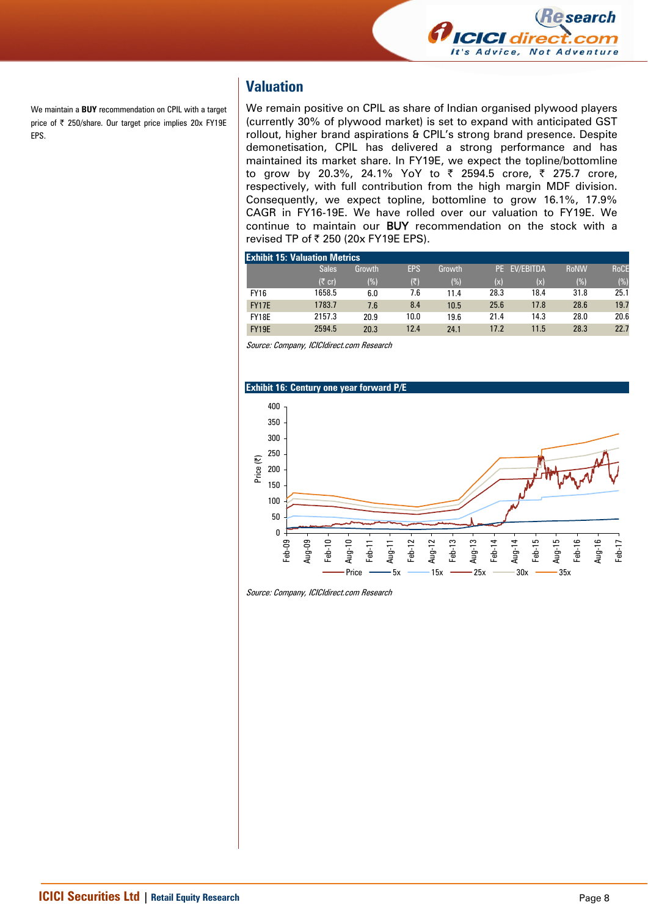

We maintain a **BUY** recommendation on CPIL with a target price of ₹ 250/share. Our target price implies 20x FY19E EPS.

# **Valuation**

We remain positive on CPIL as share of Indian organised plywood players (currently 30% of plywood market) is set to expand with anticipated GST rollout, higher brand aspirations & CPIL's strong brand presence. Despite demonetisation, CPIL has delivered a strong performance and has maintained its market share. In FY19E, we expect the topline/bottomline to grow by 20.3%, 24.1% YoY to ₹ 2594.5 crore, ₹ 275.7 crore, respectively, with full contribution from the high margin MDF division. Consequently, we expect topline, bottomline to grow 16.1%, 17.9% CAGR in FY16-19E. We have rolled over our valuation to FY19E. We continue to maintain our BUY recommendation on the stock with a revised TP of ₹ 250 (20x FY19E EPS).

|              | <b>Exhibit 15: Valuation Metrics</b> |        |            |        |      |              |             |             |
|--------------|--------------------------------------|--------|------------|--------|------|--------------|-------------|-------------|
|              | <b>Sales</b>                         | Growth | <b>EPS</b> | Growth |      | PE EV/EBITDA | <b>RoNW</b> | <b>RoCE</b> |
|              | $(5$ cr)                             | (%)    | (₹)        | (%)    | (x)  | (x)          | (%)         | (%)         |
| <b>FY16</b>  | 1658.5                               | 6.0    | 7.6        | 11.4   | 28.3 | 18.4         | 31.8        | 25.1        |
| <b>FY17E</b> | 1783.7                               | 7.6    | 8.4        | 10.5   | 25.6 | 17.8         | 28.6        | 19.7        |
| FY18E        | 2157.3                               | 20.9   | 10.0       | 19.6   | 21.4 | 14.3         | 28.0        | 20.6        |
| <b>FY19E</b> | 2594.5                               | 20.3   | 12.4       | 24.1   | 17.2 | 11.5         | 28.3        | 22.7        |





Source: Company, ICICIdirect.com Research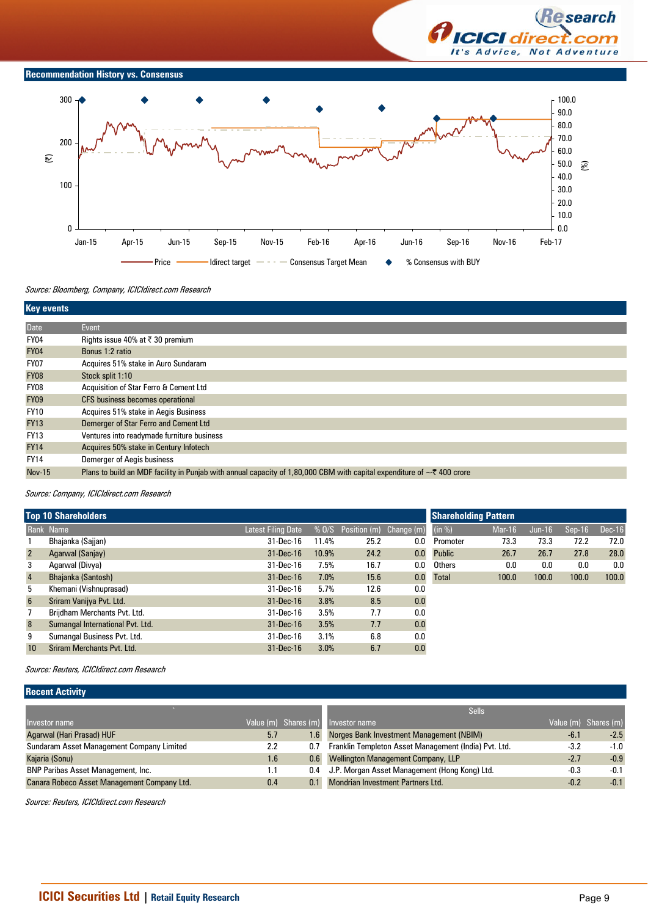



Source: Bloomberg, Company, ICICIdirect.com Research

| <b>Key events</b> |                                                                                                                              |
|-------------------|------------------------------------------------------------------------------------------------------------------------------|
| <b>Date</b>       | Event                                                                                                                        |
| FY04              | Rights issue 40% at $\bar{\tau}$ 30 premium                                                                                  |
| <b>FY04</b>       | Bonus 1:2 ratio                                                                                                              |
| <b>FY07</b>       | Acquires 51% stake in Auro Sundaram                                                                                          |
| <b>FY08</b>       | Stock split 1:10                                                                                                             |
| FY08              | Acquisition of Star Ferro & Cement Ltd                                                                                       |
| <b>FY09</b>       | CFS business becomes operational                                                                                             |
| <b>FY10</b>       | Acquires 51% stake in Aegis Business                                                                                         |
| <b>FY13</b>       | Demerger of Star Ferro and Cement Ltd                                                                                        |
| <b>FY13</b>       | Ventures into readymade furniture business                                                                                   |
| <b>FY14</b>       | Acquires 50% stake in Century Infotech                                                                                       |
| <b>FY14</b>       | Demerger of Aegis business                                                                                                   |
| <b>Nov-15</b>     | Plans to build an MDF facility in Punjab with annual capacity of 1,80,000 CBM with capital expenditure of $\sim$ ₹ 400 crore |

Source: Company, ICICIdirect.com Research

|                 | <b>Top 10 Shareholders</b>       | <b>Shareholding Pattern</b> |       |                               |     |               |        |          |          |          |
|-----------------|----------------------------------|-----------------------------|-------|-------------------------------|-----|---------------|--------|----------|----------|----------|
|                 | Rank Name                        | Latest Filing Date          |       | % 0/S Position (m) Change (m) |     | (in %)        | Mar-16 | $Jun-16$ | $Sen-16$ | $Dec-16$ |
|                 | Bhajanka (Sajjan)                | 31-Dec-16                   | 11.4% | 25.2                          | 0.0 | Promoter      | 73.3   | 73.3     | 72.2     | 72.0     |
| $\overline{2}$  | Agarwal (Sanjay)                 | $31 - Dec-16$               | 10.9% | 24.2                          | 0.0 | <b>Public</b> | 26.7   | 26.7     | 27.8     | 28.0     |
| 3               | Agarwal (Divya)                  | 31-Dec-16                   | 7.5%  | 16.7                          | 0.0 | Others        | 0.0    | 0.0      | 0.0      | 0.0      |
| $\overline{4}$  | Bhajanka (Santosh)               | $31 - Dec-16$               | 7.0%  | 15.6                          | 0.0 | <b>Total</b>  | 100.0  | 100.0    | 100.0    | 100.0    |
| 5               | Khemani (Vishnuprasad)           | 31-Dec-16                   | 5.7%  | 12.6                          | 0.0 |               |        |          |          |          |
| $6\overline{6}$ | Sriram Vanijya Pvt. Ltd.         | $31 - Dec - 16$             | 3.8%  | 8.5                           | 0.0 |               |        |          |          |          |
|                 | Brijdham Merchants Pvt. Ltd.     | 31-Dec-16                   | 3.5%  | 7.7                           | 0.0 |               |        |          |          |          |
| 8               | Sumangal International Pvt. Ltd. | $31 - Dec-16$               | 3.5%  | 7.7                           | 0.0 |               |        |          |          |          |
| 9               | Sumangal Business Pvt. Ltd.      | 31-Dec-16                   | 3.1%  | 6.8                           | 0.0 |               |        |          |          |          |
| 10              | Sriram Merchants Pvt. Ltd.       | 31-Dec-16                   | 3.0%  | 6.7                           | 0.0 |               |        |          |          |          |

Source: Reuters, ICICIdirect.com Research

### **Recent Activity**

|                                             |     |     | <b>Sells</b>                                          |        |                      |
|---------------------------------------------|-----|-----|-------------------------------------------------------|--------|----------------------|
| Investor name                               |     |     | Value (m) Shares (m) Investor name                    |        | Value (m) Shares (m) |
| Agarwal (Hari Prasad) HUF                   | 5.7 | 1.6 | Norges Bank Investment Management (NBIM)              | $-6.1$ | $-2.5$               |
| Sundaram Asset Management Company Limited   | 2.2 | 0.7 | Franklin Templeton Asset Management (India) Pvt. Ltd. | $-3.2$ | $-1.0$               |
| Kajaria (Sonu)                              | 1.6 |     | 0.6 Wellington Management Company, LLP                | $-2.7$ | $-0.9$               |
| <b>BNP Paribas Asset Management, Inc.</b>   |     |     | 0.4 J.P. Morgan Asset Management (Hong Kong) Ltd.     | $-0.3$ | $-0.1$               |
| Canara Robeco Asset Management Company Ltd. | 0.4 |     | 0.1 Mondrian Investment Partners Ltd.                 | $-0.2$ | $-0.1$               |

Source: Reuters, ICICIdirect.com Research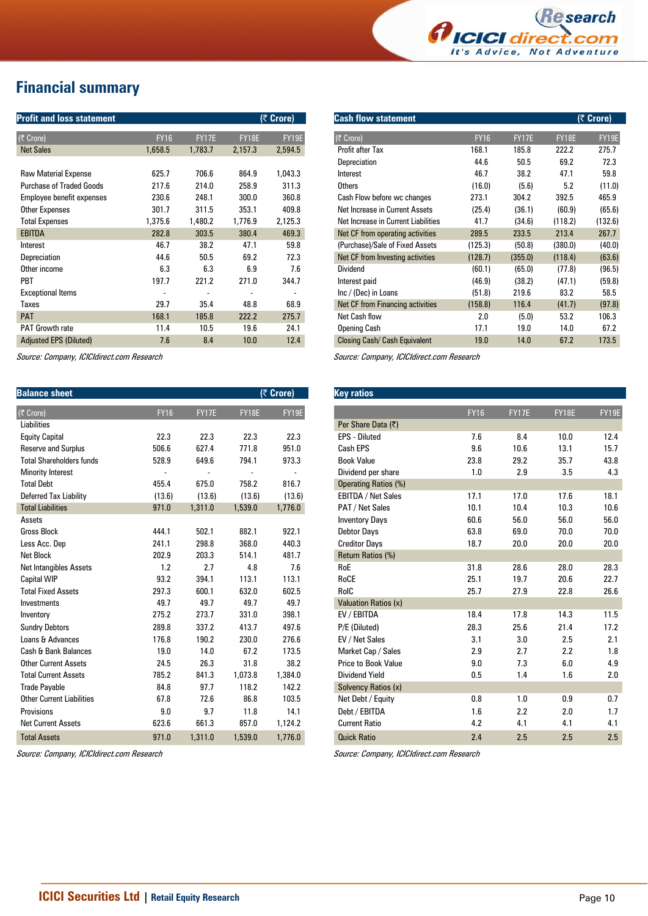

# **Financial summary**

| <b>Profit and loss statement</b> |             |              |              | $(5$ Crore)                  |
|----------------------------------|-------------|--------------|--------------|------------------------------|
| (そ Crore)                        | <b>FY16</b> | <b>FY17E</b> | <b>FY18E</b> | FY19E                        |
| <b>Net Sales</b>                 | 1,658.5     | 1,783.7      | 2,157.3      | 2,594.5                      |
|                                  |             |              |              |                              |
| <b>Raw Material Expense</b>      | 625.7       | 706.6        | 864.9        | 1,043.3                      |
| <b>Purchase of Traded Goods</b>  | 217.6       | 214.0        | 258.9        | 311.3                        |
| Employee benefit expenses        | 230.6       | 248.1        | 300.0        | 360.8                        |
| <b>Other Expenses</b>            | 301.7       | 311.5        | 353.1        | 409.8                        |
| <b>Total Expenses</b>            | 1,375.6     | 1,480.2      | 1,776.9      | 2,125.3                      |
| <b>EBITDA</b>                    | 282.8       | 303.5        | 380.4        | 469.3                        |
| Interest                         | 46.7        | 38.2         | 47.1         | 59.8                         |
| Depreciation                     | 44.6        | 50.5         | 69.2         | 72.3                         |
| Other income                     | 6.3         | 6.3          | 6.9          | 7.6                          |
| PBT                              | 197.7       | 221.2        | 271.0        | 344.7                        |
| <b>Exceptional Items</b>         | -           |              |              | $\qquad \qquad \blacksquare$ |
| <b>Taxes</b>                     | 29.7        | 35.4         | 48.8         | 68.9                         |
| <b>PAT</b>                       | 168.1       | 185.8        | 222.2        | 275.7                        |
| <b>PAT Growth rate</b>           | 11.4        | 10.5         | 19.6         | 24.1                         |
| <b>Adjusted EPS (Diluted)</b>    | 7.6         | 8.4          | 10.0         | 12.4                         |

Source: Company, ICICIdirect.com Research

| <b>Balance sheet</b>             |             |         |         | (₹ Crore) |
|----------------------------------|-------------|---------|---------|-----------|
| (₹ Crore)                        | <b>FY16</b> | FY17E   | FY18E   | FY19E     |
| <b>Liabilities</b>               |             |         |         |           |
| <b>Equity Capital</b>            | 22.3        | 22.3    | 22.3    | 22.3      |
| <b>Reserve and Surplus</b>       | 506.6       | 627.4   | 771.8   | 951.0     |
| <b>Total Shareholders funds</b>  | 528.9       | 649.6   | 794.1   | 973.3     |
| <b>Minority Interest</b>         |             |         |         |           |
| <b>Total Debt</b>                | 455.4       | 675.0   | 758.2   | 816.7     |
| Deferred Tax Liability           | (13.6)      | (13.6)  | (13.6)  | (13.6)    |
| <b>Total Liabilities</b>         | 971.0       | 1,311.0 | 1,539.0 | 1,776.0   |
| Assets                           |             |         |         |           |
| <b>Gross Block</b>               | 444.1       | 502.1   | 882.1   | 922.1     |
| Less Acc. Dep                    | 241.1       | 298.8   | 368.0   | 440.3     |
| <b>Net Block</b>                 | 202.9       | 203.3   | 514.1   | 481.7     |
| <b>Net Intangibles Assets</b>    | 1.2         | 2.7     | 4.8     | 7.6       |
| <b>Capital WIP</b>               | 93.2        | 394.1   | 113.1   | 113.1     |
| <b>Total Fixed Assets</b>        | 297.3       | 600.1   | 632.0   | 602.5     |
| Investments                      | 49.7        | 49.7    | 49.7    | 49.7      |
| Inventory                        | 275.2       | 273.7   | 331.0   | 398.1     |
| <b>Sundry Debtors</b>            | 289.8       | 337.2   | 413.7   | 497.6     |
| Loans & Advances                 | 176.8       | 190.2   | 230.0   | 276.6     |
| Cash & Bank Balances             | 19.0        | 14.0    | 67.2    | 173.5     |
| <b>Other Current Assets</b>      | 24.5        | 26.3    | 31.8    | 38.2      |
| <b>Total Current Assets</b>      | 785.2       | 841.3   | 1,073.8 | 1,384.0   |
| <b>Trade Payable</b>             | 84.8        | 97.7    | 118.2   | 142.2     |
| <b>Other Current Liabilities</b> | 67.8        | 72.6    | 86.8    | 103.5     |
| Provisions                       | 9.0         | 9.7     | 11.8    | 14.1      |
| <b>Net Current Assets</b>        | 623.6       | 661.3   | 857.0   | 1,124.2   |
| <b>Total Assets</b>              | 971.0       | 1,311.0 | 1,539.0 | 1.776.0   |

Source: Company, ICICIdirect.com Research

| <b>Cash flow statement</b>          |             |              |         | (₹ Crore) |
|-------------------------------------|-------------|--------------|---------|-----------|
| $(\bar{z}$ Crore)                   | <b>FY16</b> | <b>FY17E</b> | FY18E   | FY19E     |
| Profit after Tax                    | 168.1       | 185.8        | 222.2   | 275.7     |
| Depreciation                        | 44.6        | 50.5         | 69.2    | 72.3      |
| Interest                            | 46.7        | 38.2         | 47.1    | 59.8      |
| <b>Others</b>                       | (16.0)      | (5.6)        | 5.2     | (11.0)    |
| Cash Flow before wc changes         | 273.1       | 304.2        | 392.5   | 465.9     |
| Net Increase in Current Assets      | (25.4)      | (36.1)       | (60.9)  | (65.6)    |
| Net Increase in Current Liabilities | 41.7        | (34.6)       | (118.2) | (132.6)   |
| Net CF from operating activities    | 289.5       | 233.5        | 213.4   | 267.7     |
| (Purchase)/Sale of Fixed Assets     | (125.3)     | (50.8)       | (380.0) | (40.0)    |
| Net CF from Investing activities    | (128.7)     | (355.0)      | (118.4) | (63.6)    |
| Dividend                            | (60.1)      | (65.0)       | (77.8)  | (96.5)    |
| Interest paid                       | (46.9)      | (38.2)       | (47.1)  | (59.8)    |
| Inc / (Dec) in Loans                | (51.8)      | 219.6        | 83.2    | 58.5      |
| Net CF from Financing activities    | (158.8)     | 116.4        | (41.7)  | (97.8)    |
| Net Cash flow                       | 2.0         | (5.0)        | 53.2    | 106.3     |
| <b>Opening Cash</b>                 | 17.1        | 19.0         | 14.0    | 67.2      |
| Closing Cash/ Cash Equivalent       | 19.0        | 14.0         | 67.2    | 173.5     |

Source: Company, ICICIdirect.com Research

| <b>Key ratios</b>           |             |              |       |       |
|-----------------------------|-------------|--------------|-------|-------|
|                             | <b>FY16</b> | <b>FY17E</b> | FY18E | FY19E |
| Per Share Data (₹)          |             |              |       |       |
| FPS - Diluted               | 7.6         | 8.4          | 10.0  | 12.4  |
| Cash EPS                    | 9.6         | 10.6         | 13.1  | 15.7  |
| <b>Book Value</b>           | 23.8        | 29.2         | 35.7  | 43.8  |
| Dividend per share          | 1.0         | 2.9          | 3.5   | 4.3   |
| <b>Operating Ratios (%)</b> |             |              |       |       |
| <b>EBITDA / Net Sales</b>   | 17.1        | 17.0         | 17.6  | 18.1  |
| PAT / Net Sales             | 10.1        | 10.4         | 10.3  | 10.6  |
| <b>Inventory Days</b>       | 60.6        | 56.0         | 56.0  | 56.0  |
| Debtor Days                 | 63.8        | 69.0         | 70.0  | 70.0  |
| <b>Creditor Days</b>        | 18.7        | 20.0         | 20.0  | 20.0  |
| <b>Return Ratios (%)</b>    |             |              |       |       |
| RoE                         | 31.8        | 28.6         | 28.0  | 28.3  |
| RoCE                        | 25.1        | 19.7         | 20.6  | 22.7  |
| RoIC                        | 25.7        | 27.9         | 22.8  | 26.6  |
| <b>Valuation Ratios (x)</b> |             |              |       |       |
| EV / EBITDA                 | 18.4        | 17.8         | 14.3  | 11.5  |
| P/E (Diluted)               | 28.3        | 25.6         | 21.4  | 17.2  |
| EV / Net Sales              | 3.1         | 3.0          | 2.5   | 2.1   |
| Market Cap / Sales          | 2.9         | 2.7          | 2.2   | 1.8   |
| Price to Book Value         | 9.0         | 7.3          | 6.0   | 4.9   |
| Dividend Yield              | 0.5         | 1.4          | 1.6   | 2.0   |
| Solvency Ratios (x)         |             |              |       |       |
| Net Debt / Equity           | 0.8         | 1.0          | 0.9   | 0.7   |
| Debt / EBITDA               | 1.6         | 2.2          | 2.0   | 1.7   |
| <b>Current Ratio</b>        | 4.2         | 4.1          | 4.1   | 4.1   |
| <b>Quick Ratio</b>          | 2.4         | 2.5          | 2.5   | 2.5   |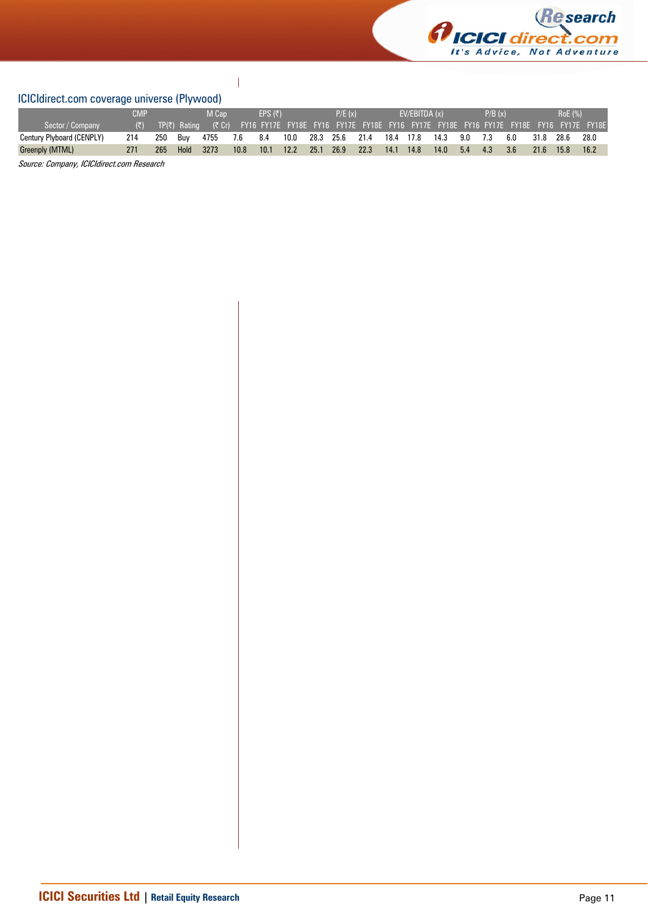

# ICICIdirect.com coverage universe (Plywood)

|                           | CMP                  |     |                       | M Cap |      | EPS (₹) |      |      | P/E(x) |      |           | EVIEBITDA(x) |      |     | P/B(x) |     |      | RoE (%) |                                                                                      |
|---------------------------|----------------------|-----|-----------------------|-------|------|---------|------|------|--------|------|-----------|--------------|------|-----|--------|-----|------|---------|--------------------------------------------------------------------------------------|
| Sector / Company          | $(\overline{\zeta})$ |     | $T P(\bar{z})$ Rating | (5C)  |      |         |      |      |        |      |           |              |      |     |        |     |      |         | FY16 FY17E FY18E FY16 FY17E FY18E FY16 FY17E FY18E FY16 FY17E FY18E FY16 FY17E FY18E |
| Century Plyboard (CENPLY) | 214                  | 250 | Buv                   | 4755  | 7.6  | 8.4     | 10.0 | 28.3 | 25.6   | 21.4 | 18.4 17.8 |              | 14.3 | 9.0 | 7.3    | 6.0 | 31.8 | 28.6    | 28.0                                                                                 |
| Greenply (MTML)           | 271                  | 265 | Hold                  | 3273  | 10.8 | 10.1    | 12.2 | 25.1 | 26.9   | 22.3 | 14.1      | 14.8         | 14.0 | 5.4 | 4.3    | 3.6 | 21.6 | 15.8    | 16.2                                                                                 |

 $\overline{\phantom{a}}$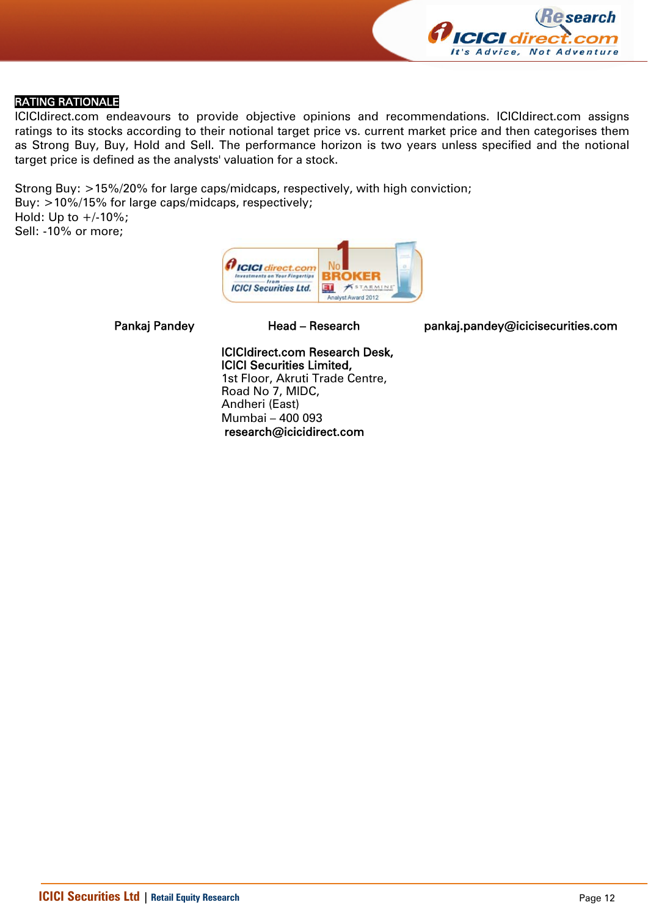

# RATING RATIONALE

ICICIdirect.com endeavours to provide objective opinions and recommendations. ICICIdirect.com assigns ratings to its stocks according to their notional target price vs. current market price and then categorises them as Strong Buy, Buy, Hold and Sell. The performance horizon is two years unless specified and the notional target price is defined as the analysts' valuation for a stock.

Strong Buy: >15%/20% for large caps/midcaps, respectively, with high conviction; Buy: >10%/15% for large caps/midcaps, respectively; Hold: Up to  $+/10%$ ; Sell: -10% or more;



Pankaj Pandey Head – Research pankaj.pandey@icicisecurities.com

ICICIdirect.com Research Desk, ICICI Securities Limited, 1st Floor, Akruti Trade Centre,

Road No 7, MIDC, Andheri (East) Mumbai – 400 093 research@icicidirect.com